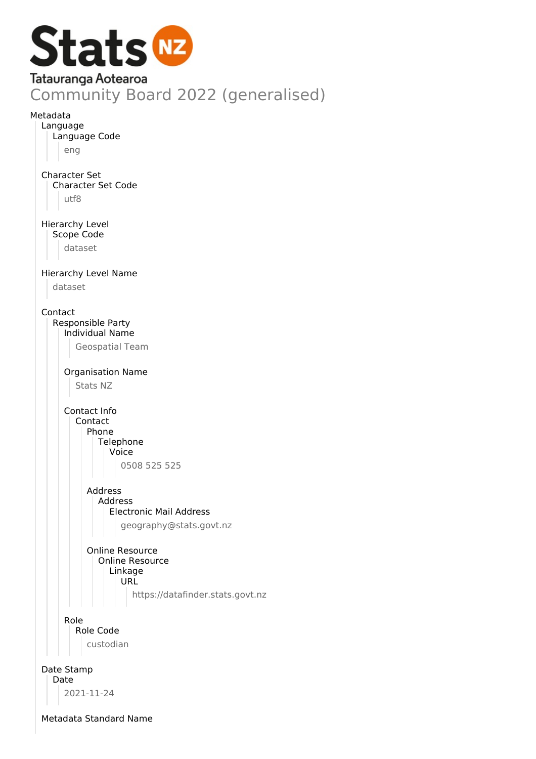

Online Resource Online Resource Linkage URL

https://datafinder.stats.govt.nz

Role Role Code

custodian

Date Stamp Date

2021-11-24

Metadata Standard Name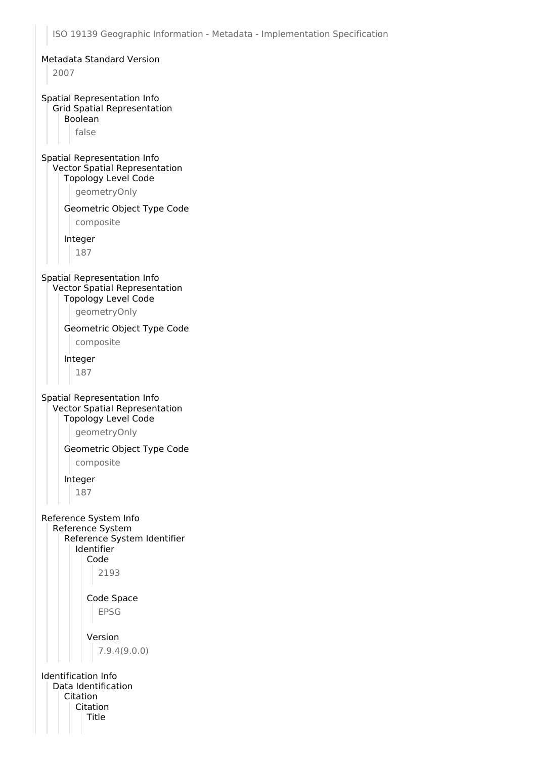ISO 19139 Geographic Information - Metadata - Implementation Specification Metadata Standard Version 2007 Spatial Representation Info Grid Spatial Representation Boolean false Spatial Representation Info Vector Spatial Representation Topology Level Code geometryOnly Geometric Object Type Code composite Integer 187 Spatial Representation Info Vector Spatial Representation Topology Level Code geometryOnly Geometric Object Type Code composite Integer 187 Spatial Representation Info Vector Spatial Representation Topology Level Code geometryOnly Geometric Object Type Code composite Integer 187 Reference System Info Reference System Reference System Identifier Identifier Code 2193 Code Space EPSG Version 7.9.4(9.0.0) Identification Info Data Identification Citation Citation **Title**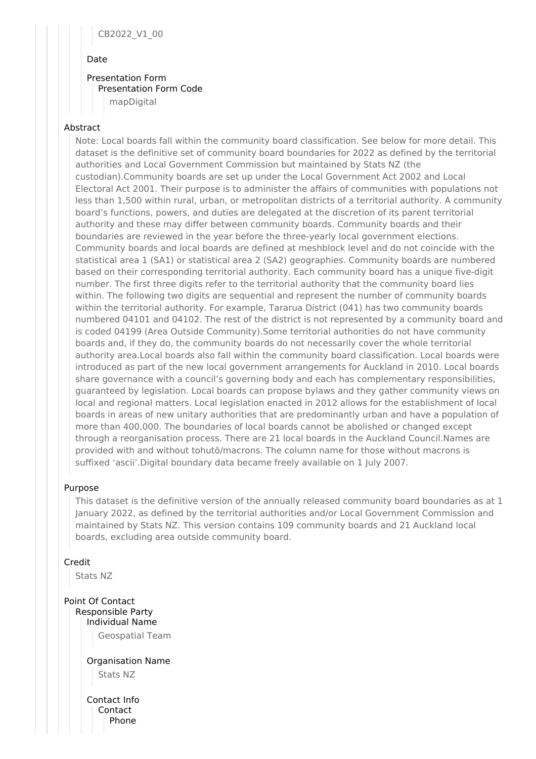# CB2022\_V1\_00

#### Date

# Presentation Form Presentation Form Code

mapDigital

# Abstract

Note: Local boards fall within the community board classification. See below for more detail. This dataset is the definitive set of community board boundaries for 2022 as defined by the territorial authorities and Local Government Commission but maintained by Stats NZ (the custodian).Community boards are set up under the Local Government Act 2002 and Local Electoral Act 2001. Their purpose is to administer the affairs of communities with populations not less than 1,500 within rural, urban, or metropolitan districts of a territorial authority. A community board's functions, powers, and duties are delegated at the discretion of its parent territorial authority and these may differ between community boards. Community boards and their boundaries are reviewed in the year before the three-yearly local government elections. Community boards and local boards are defined at meshblock level and do not coincide with the statistical area 1 (SA1) or statistical area 2 (SA2) geographies. Community boards are numbered based on their corresponding territorial authority. Each community board has a unique five-digit number. The first three digits refer to the territorial authority that the community board lies within. The following two digits are sequential and represent the number of community boards within the territorial authority. For example, Tararua District (041) has two community boards numbered 04101 and 04102. The rest of the district is not represented by a community board and is coded 04199 (Area Outside Community).Some territorial authorities do not have community boards and, if they do, the community boards do not necessarily cover the whole territorial authority area.Local boards also fall within the community board classification. Local boards were introduced as part of the new local government arrangements for Auckland in 2010. Local boards share governance with a council's governing body and each has complementary responsibilities, guaranteed by legislation. Local boards can propose bylaws and they gather community views on local and regional matters. Local legislation enacted in 2012 allows for the establishment of local boards in areas of new unitary authorities that are predominantly urban and have a population of more than 400,000. The boundaries of local boards cannot be abolished or changed except through a reorganisation process. There are 21 local boards in the Auckland Council.Names are provided with and without tohutō/macrons. The column name for those without macrons is suffixed 'ascii'.Digital boundary data became freely available on 1 July 2007.

# Purpose

This dataset is the definitive version of the annually released community board boundaries as at 1 January 2022, as defined by the territorial authorities and/or Local Government Commission and maintained by Stats NZ. This version contains 109 community boards and 21 Auckland local boards, excluding area outside community board.

Credit

Stats NZ

Point Of Contact Responsible Party Individual Name Geospatial Team

> Organisation Name Stats NZ

Contact Info Contact Phone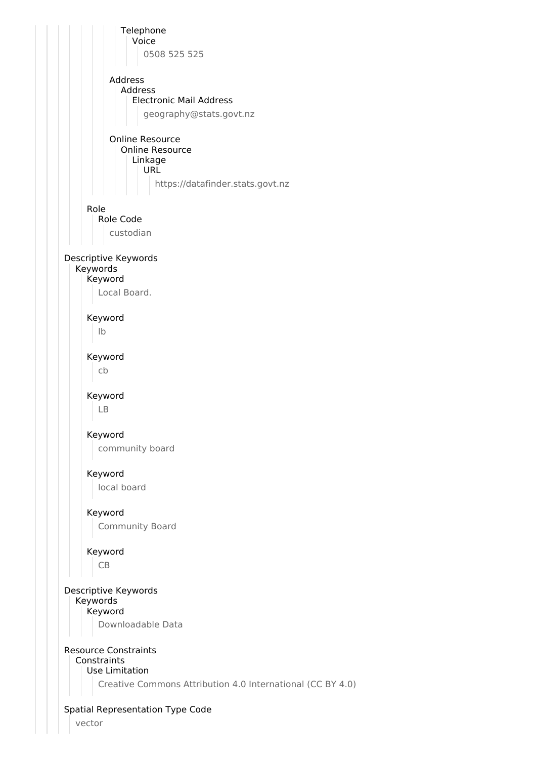

vector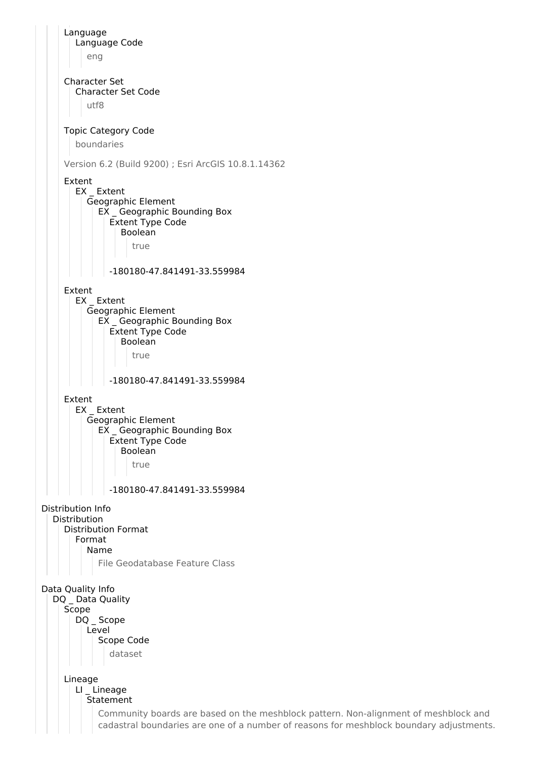